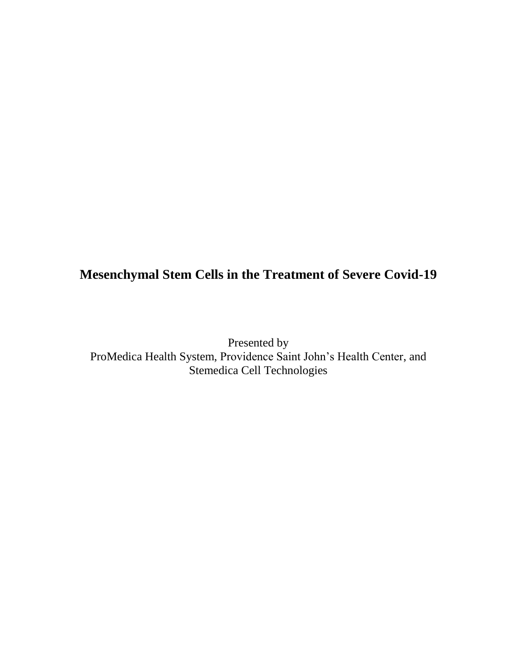## **Mesenchymal Stem Cells in the Treatment of Severe Covid-19**

Presented by ProMedica Health System, Providence Saint John's Health Center, and Stemedica Cell Technologies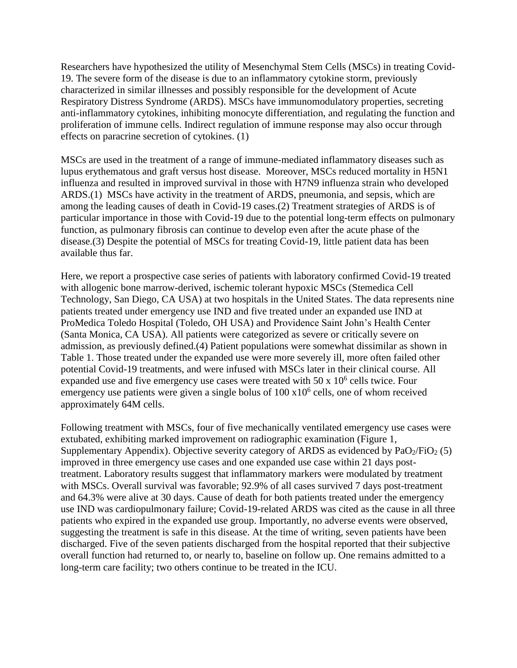Researchers have hypothesized the utility of Mesenchymal Stem Cells (MSCs) in treating Covid-19. The severe form of the disease is due to an inflammatory cytokine storm, previously characterized in similar illnesses and possibly responsible for the development of Acute Respiratory Distress Syndrome (ARDS). MSCs have immunomodulatory properties, secreting anti-inflammatory cytokines, inhibiting monocyte differentiation, and regulating the function and proliferation of immune cells. Indirect regulation of immune response may also occur through effects on paracrine secretion of cytokines. (1)

MSCs are used in the treatment of a range of immune-mediated inflammatory diseases such as lupus erythematous and graft versus host disease. Moreover, MSCs reduced mortality in H5N1 influenza and resulted in improved survival in those with H7N9 influenza strain who developed ARDS.(1) MSCs have activity in the treatment of ARDS, pneumonia, and sepsis, which are among the leading causes of death in Covid-19 cases.(2) Treatment strategies of ARDS is of particular importance in those with Covid-19 due to the potential long-term effects on pulmonary function, as pulmonary fibrosis can continue to develop even after the acute phase of the disease.(3) Despite the potential of MSCs for treating Covid-19, little patient data has been available thus far.

Here, we report a prospective case series of patients with laboratory confirmed Covid-19 treated with allogenic bone marrow-derived, ischemic tolerant hypoxic MSCs (Stemedica Cell Technology, San Diego, CA USA) at two hospitals in the United States. The data represents nine patients treated under emergency use IND and five treated under an expanded use IND at ProMedica Toledo Hospital (Toledo, OH USA) and Providence Saint John's Health Center (Santa Monica, CA USA). All patients were categorized as severe or critically severe on admission, as previously defined.(4) Patient populations were somewhat dissimilar as shown in Table 1. Those treated under the expanded use were more severely ill, more often failed other potential Covid-19 treatments, and were infused with MSCs later in their clinical course. All expanded use and five emergency use cases were treated with  $50 \times 10^6$  cells twice. Four emergency use patients were given a single bolus of  $100 \times 10^6$  cells, one of whom received approximately 64M cells.

Following treatment with MSCs, four of five mechanically ventilated emergency use cases were extubated, exhibiting marked improvement on radiographic examination (Figure 1, Supplementary Appendix). Objective severity category of ARDS as evidenced by  $PaO<sub>2</sub>/FiO<sub>2</sub> (5)$ improved in three emergency use cases and one expanded use case within 21 days posttreatment. Laboratory results suggest that inflammatory markers were modulated by treatment with MSCs. Overall survival was favorable; 92.9% of all cases survived 7 days post-treatment and 64.3% were alive at 30 days. Cause of death for both patients treated under the emergency use IND was cardiopulmonary failure; Covid-19-related ARDS was cited as the cause in all three patients who expired in the expanded use group. Importantly, no adverse events were observed, suggesting the treatment is safe in this disease. At the time of writing, seven patients have been discharged. Five of the seven patients discharged from the hospital reported that their subjective overall function had returned to, or nearly to, baseline on follow up. One remains admitted to a long-term care facility; two others continue to be treated in the ICU.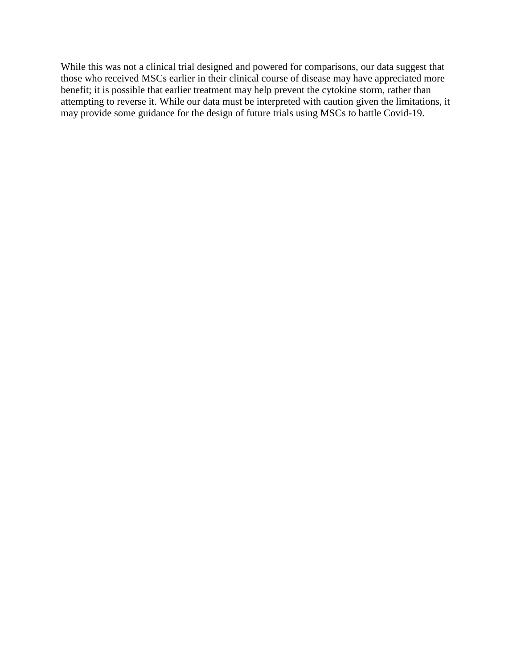While this was not a clinical trial designed and powered for comparisons, our data suggest that those who received MSCs earlier in their clinical course of disease may have appreciated more benefit; it is possible that earlier treatment may help prevent the cytokine storm, rather than attempting to reverse it. While our data must be interpreted with caution given the limitations, it may provide some guidance for the design of future trials using MSCs to battle Covid-19.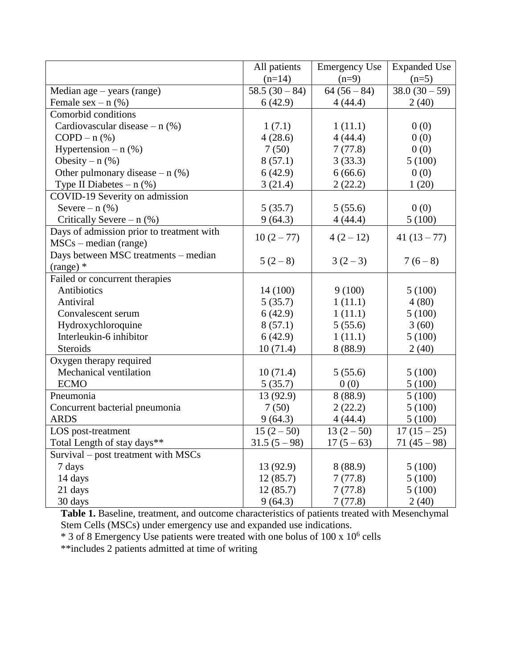|                                           | All patients  | <b>Emergency Use</b> | <b>Expanded Use</b> |
|-------------------------------------------|---------------|----------------------|---------------------|
|                                           | $(n=14)$      | $(n=9)$              | $(n=5)$             |
| Median age $-$ years (range)              | $58.5(30-84)$ | $64(56-84)$          | $38.0(30-59)$       |
| Female $sex - n$ (%)                      | 6(42.9)       | 4(44.4)              | 2(40)               |
| Comorbid conditions                       |               |                      |                     |
| Cardiovascular disease $- n$ (%)          | 1(7.1)        | 1(11.1)              | 0(0)                |
| $COPD - n$ (%)                            | 4(28.6)       | 4(44.4)              | 0(0)                |
| Hypertension $- n$ (%)                    | 7(50)         | 7(77.8)              | 0(0)                |
| Obesity – $n$ (%)                         | 8(57.1)       | 3(33.3)              | 5(100)              |
| Other pulmonary disease $- n$ (%)         | 6(42.9)       | 6(66.6)              | 0(0)                |
| Type II Diabetes $- n$ (%)                | 3(21.4)       | 2(22.2)              | 1(20)               |
| COVID-19 Severity on admission            |               |                      |                     |
| Severe – $n$ $(\%)$                       | 5(35.7)       | 5(55.6)              | 0(0)                |
| Critically Severe – $n$ (%)               | 9(64.3)       | 4(44.4)              | 5(100)              |
| Days of admission prior to treatment with |               |                      |                     |
| $MSCs$ – median (range)                   | $10(2 - 77)$  | $4(2-12)$            | 41 $(13 - 77)$      |
| Days between MSC treatments - median      |               |                      |                     |
| $(range)$ <sup>*</sup>                    | $5(2-8)$      | $3(2-3)$             | $7(6-8)$            |
| Failed or concurrent therapies            |               |                      |                     |
| Antibiotics                               | 14 (100)      | 9(100)               | 5(100)              |
| Antiviral                                 | 5(35.7)       | 1(11.1)              | 4(80)               |
| Convalescent serum                        | 6(42.9)       | 1(11.1)              | 5(100)              |
| Hydroxychloroquine                        | 8(57.1)       | 5(55.6)              | 3(60)               |
| Interleukin-6 inhibitor                   | 6(42.9)       | 1(11.1)              | 5(100)              |
| Steroids                                  | 10(71.4)      | 8(88.9)              | 2(40)               |
| Oxygen therapy required                   |               |                      |                     |
| Mechanical ventilation                    | 10(71.4)      | 5(55.6)              | 5(100)              |
| <b>ECMO</b>                               | 5(35.7)       | 0(0)                 | 5(100)              |
| Pneumonia                                 | 13 (92.9)     | 8(88.9)              | 5(100)              |
| Concurrent bacterial pneumonia            | 7(50)         | 2(22.2)              | 5(100)              |
| <b>ARDS</b>                               | 9(64.3)       | 4(44.4)              | 5(100)              |
| LOS post-treatment                        | $15(2-50)$    | $13(2-50)$           | $17(15-25)$         |
| Total Length of stay days**               | $31.5(5-98)$  | $17(5-63)$           | $71(45-98)$         |
| Survival – post treatment with MSCs       |               |                      |                     |
| 7 days                                    | 13 (92.9)     | 8(88.9)              | 5(100)              |
| 14 days                                   | 12(85.7)      | 7(77.8)              | 5(100)              |
| 21 days                                   | 12(85.7)      | 7(77.8)              | 5(100)              |
| 30 days                                   | 9(64.3)       | 7(77.8)              | 2(40)               |

**Table 1.** Baseline, treatment, and outcome characteristics of patients treated with Mesenchymal Stem Cells (MSCs) under emergency use and expanded use indications.

\* 3 of 8 Emergency Use patients were treated with one bolus of 100 x 10<sup>6</sup> cells

\*\*includes 2 patients admitted at time of writing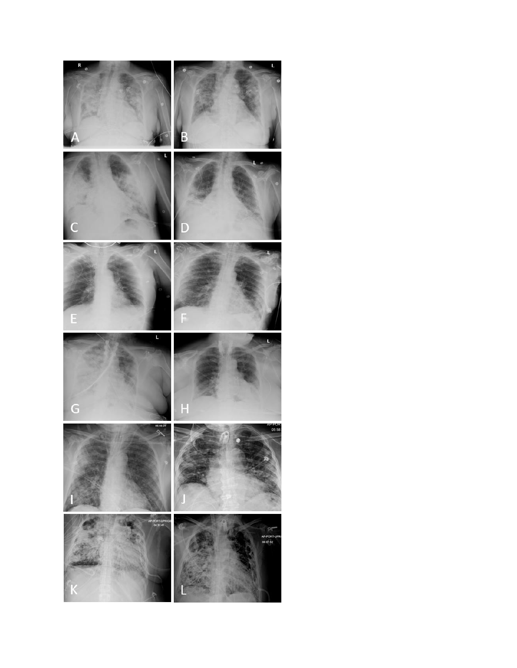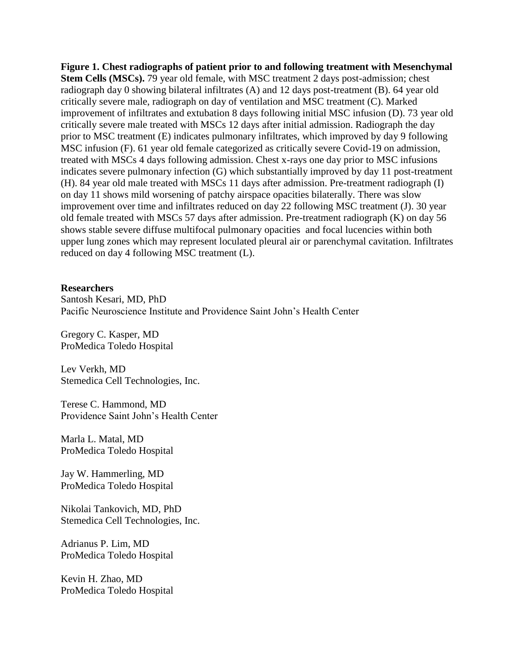**Figure 1. Chest radiographs of patient prior to and following treatment with Mesenchymal Stem Cells (MSCs).** 79 year old female, with MSC treatment 2 days post-admission; chest radiograph day 0 showing bilateral infiltrates (A) and 12 days post-treatment (B). 64 year old critically severe male, radiograph on day of ventilation and MSC treatment (C). Marked improvement of infiltrates and extubation 8 days following initial MSC infusion (D). 73 year old critically severe male treated with MSCs 12 days after initial admission. Radiograph the day prior to MSC treatment (E) indicates pulmonary infiltrates, which improved by day 9 following MSC infusion (F). 61 year old female categorized as critically severe Covid-19 on admission, treated with MSCs 4 days following admission. Chest x-rays one day prior to MSC infusions indicates severe pulmonary infection (G) which substantially improved by day 11 post-treatment (H). 84 year old male treated with MSCs 11 days after admission. Pre-treatment radiograph (I) on day 11 shows mild worsening of patchy airspace opacities bilaterally. There was slow improvement over time and infiltrates reduced on day 22 following MSC treatment (J). 30 year old female treated with MSCs 57 days after admission. Pre-treatment radiograph (K) on day 56 shows stable severe diffuse multifocal pulmonary opacities and focal lucencies within both upper lung zones which may represent loculated pleural air or parenchymal cavitation. Infiltrates reduced on day 4 following MSC treatment (L).

## **Researchers**

Santosh Kesari, MD, PhD Pacific Neuroscience Institute and Providence Saint John's Health Center

Gregory C. Kasper, MD ProMedica Toledo Hospital

Lev Verkh, MD Stemedica Cell Technologies, Inc.

Terese C. Hammond, MD Providence Saint John's Health Center

Marla L. Matal, MD ProMedica Toledo Hospital

Jay W. Hammerling, MD ProMedica Toledo Hospital

Nikolai Tankovich, MD, PhD Stemedica Cell Technologies, Inc.

Adrianus P. Lim, MD ProMedica Toledo Hospital

Kevin H. Zhao, MD ProMedica Toledo Hospital